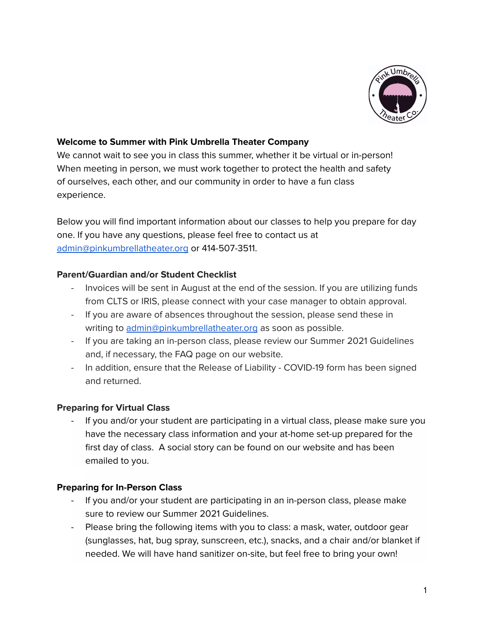

## **Welcome to Summer with Pink Umbrella Theater Company**

We cannot wait to see you in class this summer, whether it be virtual or in-person! When meeting in person, we must work together to protect the health and safety of ourselves, each other, and our community in order to have a fun class experience.

Below you will find important information about our classes to help you prepare for day one. If you have any questions, please feel free to contact us at [admin@pinkumbrellatheater.org](mailto:admin@pinkumbrellatheater.org) or 414-507-3511.

### **Parent/Guardian and/or Student Checklist**

- Invoices will be sent in August at the end of the session. If you are utilizing funds from CLTS or IRIS, please connect with your case manager to obtain approval.
- If you are aware of absences throughout the session, please send these in writing to [admin@pinkumbrellatheater.org](mailto:admin@pinkumbrellatheater.org) as soon as possible.
- If you are taking an in-person class, please review our Summer 2021 Guidelines and, if necessary, the FAQ page on our website.
- In addition, ensure that the Release of Liability COVID-19 form has been signed and returned.

## **Preparing for Virtual Class**

If you and/or your student are participating in a virtual class, please make sure you have the necessary class information and your at-home set-up prepared for the first day of class. A social story can be found on our website and has been emailed to you.

## **Preparing for In-Person Class**

- If you and/or your student are participating in an in-person class, please make sure to review our Summer 2021 Guidelines.
- Please bring the following items with you to class: a mask, water, outdoor gear (sunglasses, hat, bug spray, sunscreen, etc.), snacks, and a chair and/or blanket if needed. We will have hand sanitizer on-site, but feel free to bring your own!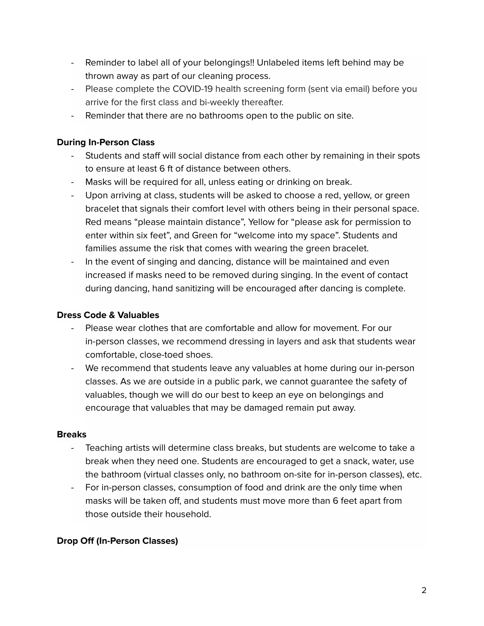- Reminder to label all of your belongings!! Unlabeled items left behind may be thrown away as part of our cleaning process.
- Please complete the COVID-19 health screening form (sent via email) before you arrive for the first class and bi-weekly thereafter.
- Reminder that there are no bathrooms open to the public on site.

# **During In-Person Class**

- Students and staff will social distance from each other by remaining in their spots to ensure at least 6 ft of distance between others.
- Masks will be required for all, unless eating or drinking on break.
- Upon arriving at class, students will be asked to choose a red, yellow, or green bracelet that signals their comfort level with others being in their personal space. Red means "please maintain distance", Yellow for "please ask for permission to enter within six feet", and Green for "welcome into my space". Students and families assume the risk that comes with wearing the green bracelet.
- In the event of singing and dancing, distance will be maintained and even increased if masks need to be removed during singing. In the event of contact during dancing, hand sanitizing will be encouraged after dancing is complete.

# **Dress Code & Valuables**

- Please wear clothes that are comfortable and allow for movement. For our in-person classes, we recommend dressing in layers and ask that students wear comfortable, close-toed shoes.
- We recommend that students leave any valuables at home during our in-person classes. As we are outside in a public park, we cannot guarantee the safety of valuables, though we will do our best to keep an eye on belongings and encourage that valuables that may be damaged remain put away.

## **Breaks**

- Teaching artists will determine class breaks, but students are welcome to take a break when they need one. Students are encouraged to get a snack, water, use the bathroom (virtual classes only, no bathroom on-site for in-person classes), etc.
- For in-person classes, consumption of food and drink are the only time when masks will be taken off, and students must move more than 6 feet apart from those outside their household.

# **Drop Off (In-Person Classes)**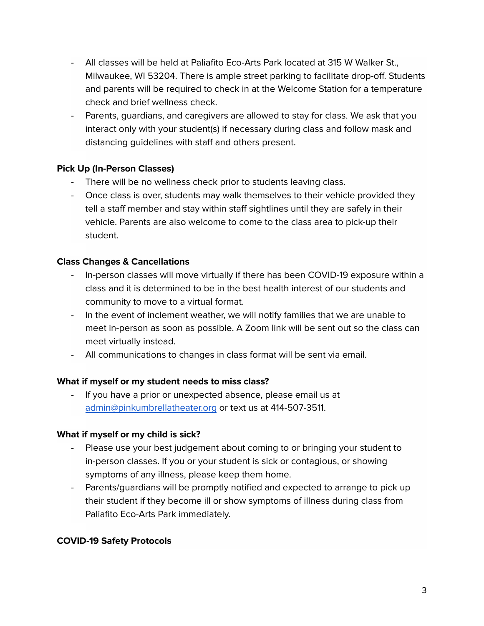- All classes will be held at Paliafito Eco-Arts Park located at 315 W Walker St., Milwaukee, WI 53204. There is ample street parking to facilitate drop-off. Students and parents will be required to check in at the Welcome Station for a temperature check and brief wellness check.
- Parents, guardians, and caregivers are allowed to stay for class. We ask that you interact only with your student(s) if necessary during class and follow mask and distancing guidelines with staff and others present.

# **Pick Up (In-Person Classes)**

- There will be no wellness check prior to students leaving class.
- Once class is over, students may walk themselves to their vehicle provided they tell a staff member and stay within staff sightlines until they are safely in their vehicle. Parents are also welcome to come to the class area to pick-up their student.

## **Class Changes & Cancellations**

- In-person classes will move virtually if there has been COVID-19 exposure within a class and it is determined to be in the best health interest of our students and community to move to a virtual format.
- In the event of inclement weather, we will notify families that we are unable to meet in-person as soon as possible. A Zoom link will be sent out so the class can meet virtually instead.
- All communications to changes in class format will be sent via email.

## **What if myself or my student needs to miss class?**

If you have a prior or unexpected absence, please email us at [admin@pinkumbrellatheater.org](mailto:admin@pinkumbrellatheater.org) or text us at 414-507-3511.

## **What if myself or my child is sick?**

- Please use your best judgement about coming to or bringing your student to in-person classes. If you or your student is sick or contagious, or showing symptoms of any illness, please keep them home.
- Parents/guardians will be promptly notified and expected to arrange to pick up their student if they become ill or show symptoms of illness during class from Paliafito Eco-Arts Park immediately.

## **COVID-19 Safety Protocols**